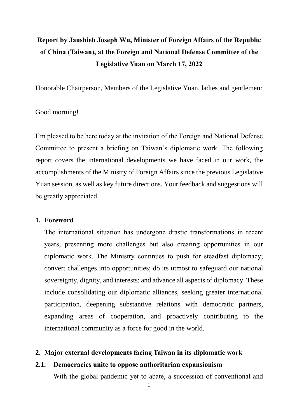# **Report by Jaushieh Joseph Wu, Minister of Foreign Affairs of the Republic of China (Taiwan), at the Foreign and National Defense Committee of the Legislative Yuan on March 17, 2022**

Honorable Chairperson, Members of the Legislative Yuan, ladies and gentlemen:

# Good morning!

I'm pleased to be here today at the invitation of the Foreign and National Defense Committee to present a briefing on Taiwan's diplomatic work. The following report covers the international developments we have faced in our work, the accomplishments of the Ministry of Foreign Affairs since the previous Legislative Yuan session, as well as key future directions. Your feedback and suggestions will be greatly appreciated.

# **1. Foreword**

The international situation has undergone drastic transformations in recent years, presenting more challenges but also creating opportunities in our diplomatic work. The Ministry continues to push for steadfast diplomacy; convert challenges into opportunities; do its utmost to safeguard our national sovereignty, dignity, and interests; and advance all aspects of diplomacy. These include consolidating our diplomatic alliances, seeking greater international participation, deepening substantive relations with democratic partners, expanding areas of cooperation, and proactively contributing to the international community as a force for good in the world.

# **2. Major external developments facing Taiwan in its diplomatic work**

# **2.1. Democracies unite to oppose authoritarian expansionism**

With the global pandemic yet to abate, a succession of conventional and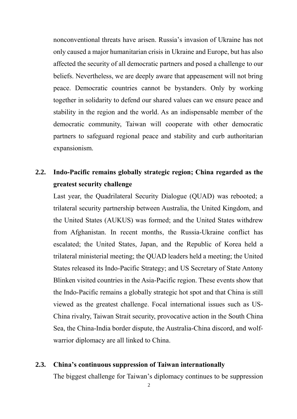nonconventional threats have arisen. Russia's invasion of Ukraine has not only caused a major humanitarian crisis in Ukraine and Europe, but has also affected the security of all democratic partners and posed a challenge to our beliefs. Nevertheless, we are deeply aware that appeasement will not bring peace. Democratic countries cannot be bystanders. Only by working together in solidarity to defend our shared values can we ensure peace and stability in the region and the world. As an indispensable member of the democratic community, Taiwan will cooperate with other democratic partners to safeguard regional peace and stability and curb authoritarian expansionism.

# **2.2. Indo-Pacific remains globally strategic region; China regarded as the greatest security challenge**

Last year, the Quadrilateral Security Dialogue (QUAD) was rebooted; a trilateral security partnership between Australia, the United Kingdom, and the United States (AUKUS) was formed; and the United States withdrew from Afghanistan. In recent months, the Russia-Ukraine conflict has escalated; the United States, Japan, and the Republic of Korea held a trilateral ministerial meeting; the QUAD leaders held a meeting; the United States released its Indo-Pacific Strategy; and US Secretary of State Antony Blinken visited countries in the Asia-Pacific region. These events show that the Indo-Pacific remains a globally strategic hot spot and that China is still viewed as the greatest challenge. Focal international issues such as US-China rivalry, Taiwan Strait security, provocative action in the South China Sea, the China-India border dispute, the Australia-China discord, and wolfwarrior diplomacy are all linked to China.

# **2.3. China's continuous suppression of Taiwan internationally**

The biggest challenge for Taiwan's diplomacy continues to be suppression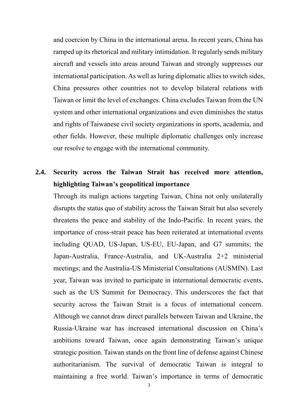and coercion by China in the international arena. In recent years, China has ramped up its rhetorical and military intimidation. It regularly sends military aircraft and vessels into areas around Taiwan and strongly suppresses our international participation. As well as luring diplomatic allies to switch sides, China pressures other countries not to develop bilateral relations with Taiwan or limit the level of exchanges. China excludes Taiwan from the UN system and other international organizations and even diminishes the status and rights of Taiwanese civil society organizations in sports, academia, and other fields. However, these multiple diplomatic challenges only increase our resolve to engage with the international community.

# **2.4. Security across the Taiwan Strait has received more attention, highlighting Taiwan's geopolitical importance**

Through its malign actions targeting Taiwan, China not only unilaterally disrupts the status quo of stability across the Taiwan Strait but also severely threatens the peace and stability of the Indo-Pacific. In recent years, the importance of cross-strait peace has been reiterated at international events including QUAD, US-Japan, US-EU, EU-Japan, and G7 summits; the Japan-Australia, France-Australia, and UK-Australia 2+2 ministerial meetings; and the Australia-US Ministerial Consultations (AUSMIN). Last year, Taiwan was invited to participate in international democratic events, such as the US Summit for Democracy. This underscores the fact that security across the Taiwan Strait is a focus of international concern. Although we cannot draw direct parallels between Taiwan and Ukraine, the Russia-Ukraine war has increased international discussion on China's ambitions toward Taiwan, once again demonstrating Taiwan's unique strategic position. Taiwan stands on the front line of defense against Chinese authoritarianism. The survival of democratic Taiwan is integral to maintaining a free world. Taiwan's importance in terms of democratic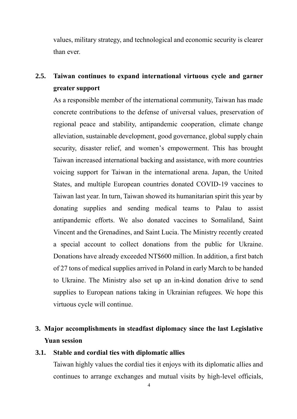values, military strategy, and technological and economic security is clearer than ever.

# **2.5. Taiwan continues to expand international virtuous cycle and garner greater support**

As a responsible member of the international community, Taiwan has made concrete contributions to the defense of universal values, preservation of regional peace and stability, antipandemic cooperation, climate change alleviation, sustainable development, good governance, global supply chain security, disaster relief, and women's empowerment. This has brought Taiwan increased international backing and assistance, with more countries voicing support for Taiwan in the international arena. Japan, the United States, and multiple European countries donated COVID-19 vaccines to Taiwan last year. In turn, Taiwan showed its humanitarian spirit this year by donating supplies and sending medical teams to Palau to assist antipandemic efforts. We also donated vaccines to Somaliland, Saint Vincent and the Grenadines, and Saint Lucia. The Ministry recently created a special account to collect donations from the public for Ukraine. Donations have already exceeded NT\$600 million. In addition, a first batch of 27 tons of medical supplies arrived in Poland in early March to be handed to Ukraine. The Ministry also set up an in-kind donation drive to send supplies to European nations taking in Ukrainian refugees. We hope this virtuous cycle will continue.

# **3. Major accomplishments in steadfast diplomacy since the last Legislative Yuan session**

# **3.1. Stable and cordial ties with diplomatic allies**

Taiwan highly values the cordial ties it enjoys with its diplomatic allies and continues to arrange exchanges and mutual visits by high-level officials,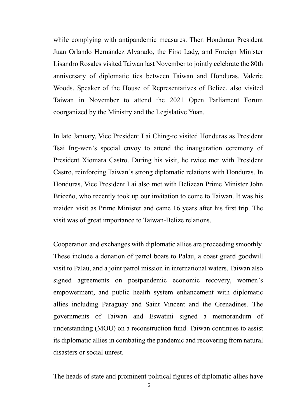while complying with antipandemic measures. Then Honduran President Juan Orlando Hernández Alvarado, the First Lady, and Foreign Minister Lisandro Rosales visited Taiwan last November to jointly celebrate the 80th anniversary of diplomatic ties between Taiwan and Honduras. Valerie Woods, Speaker of the House of Representatives of Belize, also visited Taiwan in November to attend the 2021 Open Parliament Forum coorganized by the Ministry and the Legislative Yuan.

In late January, Vice President Lai Ching-te visited Honduras as President Tsai Ing-wen's special envoy to attend the inauguration ceremony of President Xiomara Castro. During his visit, he twice met with President Castro, reinforcing Taiwan's strong diplomatic relations with Honduras. In Honduras, Vice President Lai also met with Belizean Prime Minister John Briceño, who recently took up our invitation to come to Taiwan. It was his maiden visit as Prime Minister and came 16 years after his first trip. The visit was of great importance to Taiwan-Belize relations.

Cooperation and exchanges with diplomatic allies are proceeding smoothly. These include a donation of patrol boats to Palau, a coast guard goodwill visit to Palau, and a joint patrol mission in international waters. Taiwan also signed agreements on postpandemic economic recovery, women's empowerment, and public health system enhancement with diplomatic allies including Paraguay and Saint Vincent and the Grenadines. The governments of Taiwan and Eswatini signed a memorandum of understanding (MOU) on a reconstruction fund. Taiwan continues to assist its diplomatic allies in combating the pandemic and recovering from natural disasters or social unrest.

The heads of state and prominent political figures of diplomatic allies have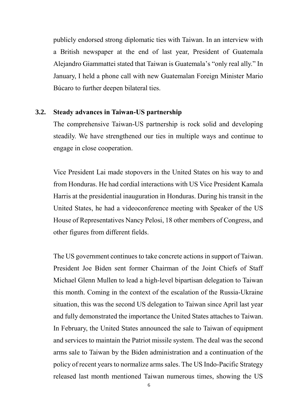publicly endorsed strong diplomatic ties with Taiwan. In an interview with a British newspaper at the end of last year, President of Guatemala Alejandro Giammattei stated that Taiwan is Guatemala's "only real ally." In January, I held a phone call with new Guatemalan Foreign Minister Mario Búcaro to further deepen bilateral ties.

# **3.2. Steady advances in Taiwan-US partnership**

The comprehensive Taiwan-US partnership is rock solid and developing steadily. We have strengthened our ties in multiple ways and continue to engage in close cooperation.

Vice President Lai made stopovers in the United States on his way to and from Honduras. He had cordial interactions with US Vice President Kamala Harris at the presidential inauguration in Honduras. During his transit in the United States, he had a videoconference meeting with Speaker of the US House of Representatives Nancy Pelosi, 18 other members of Congress, and other figures from different fields.

The US government continues to take concrete actions in support of Taiwan. President Joe Biden sent former Chairman of the Joint Chiefs of Staff Michael Glenn Mullen to lead a high-level bipartisan delegation to Taiwan this month. Coming in the context of the escalation of the Russia-Ukraine situation, this was the second US delegation to Taiwan since April last year and fully demonstrated the importance the United States attaches to Taiwan. In February, the United States announced the sale to Taiwan of equipment and services to maintain the Patriot missile system. The deal was the second arms sale to Taiwan by the Biden administration and a continuation of the policy of recent years to normalize arms sales. The US Indo-Pacific Strategy released last month mentioned Taiwan numerous times, showing the US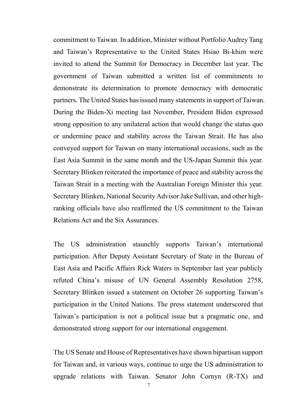commitment to Taiwan. In addition, Minister without Portfolio Audrey Tang and Taiwan's Representative to the United States Hsiao Bi-khim were invited to attend the Summit for Democracy in December last year. The government of Taiwan submitted a written list of commitments to demonstrate its determination to promote democracy with democratic partners. The United States has issued many statements in support of Taiwan. During the Biden-Xi meeting last November, President Biden expressed strong opposition to any unilateral action that would change the status quo or undermine peace and stability across the Taiwan Strait. He has also conveyed support for Taiwan on many international occasions, such as the East Asia Summit in the same month and the US-Japan Summit this year. Secretary Blinken reiterated the importance of peace and stability across the Taiwan Strait in a meeting with the Australian Foreign Minister this year. Secretary Blinken, National Security Advisor Jake Sullivan, and other highranking officials have also reaffirmed the US commitment to the Taiwan Relations Act and the Six Assurances.

The US administration staunchly supports Taiwan's international participation. After Deputy Assistant Secretary of State in the Bureau of East Asia and Pacific Affairs Rick Waters in September last year publicly refuted China's misuse of UN General Assembly Resolution 2758, Secretary Blinken issued a statement on October 26 supporting Taiwan's participation in the United Nations. The press statement underscored that Taiwan's participation is not a political issue but a pragmatic one, and demonstrated strong support for our international engagement.

The US Senate and House of Representatives have shown bipartisan support for Taiwan and, in various ways, continue to urge the US administration to upgrade relations with Taiwan. Senator John Cornyn (R-TX) and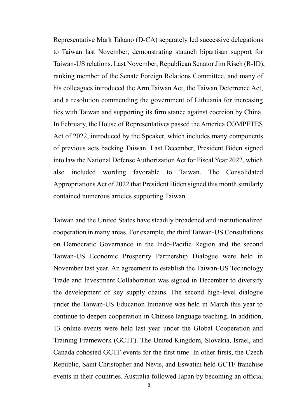Representative Mark Takano (D-CA) separately led successive delegations to Taiwan last November, demonstrating staunch bipartisan support for Taiwan-US relations. Last November, Republican Senator Jim Risch (R-ID), ranking member of the Senate Foreign Relations Committee, and many of his colleagues introduced the Arm Taiwan Act, the Taiwan Deterrence Act, and a resolution commending the government of Lithuania for increasing ties with Taiwan and supporting its firm stance against coercion by China. In February, the House of Representatives passed the America COMPETES Act of 2022, introduced by the Speaker, which includes many components of previous acts backing Taiwan. Last December, President Biden signed into law the National Defense Authorization Act for Fiscal Year 2022, which also included wording favorable to Taiwan. The Consolidated Appropriations Act of 2022 that President Biden signed this month similarly contained numerous articles supporting Taiwan.

Taiwan and the United States have steadily broadened and institutionalized cooperation in many areas. For example, the third Taiwan-US Consultations on Democratic Governance in the Indo-Pacific Region and the second Taiwan-US Economic Prosperity Partnership Dialogue were held in November last year. An agreement to establish the Taiwan-US Technology Trade and Investment Collaboration was signed in December to diversify the development of key supply chains. The second high-level dialogue under the Taiwan-US Education Initiative was held in March this year to continue to deepen cooperation in Chinese language teaching. In addition, 13 online events were held last year under the Global Cooperation and Training Framework (GCTF). The United Kingdom, Slovakia, Israel, and Canada cohosted GCTF events for the first time. In other firsts, the Czech Republic, Saint Christopher and Nevis, and Eswatini held GCTF franchise events in their countries. Australia followed Japan by becoming an official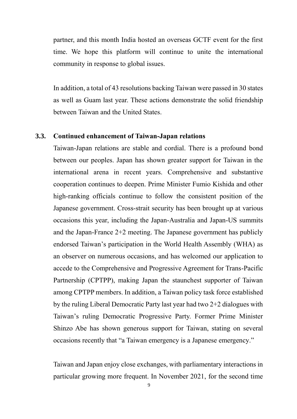partner, and this month India hosted an overseas GCTF event for the first time. We hope this platform will continue to unite the international community in response to global issues.

In addition, a total of 43 resolutions backing Taiwan were passed in 30 states as well as Guam last year. These actions demonstrate the solid friendship between Taiwan and the United States.

# **3.3. Continued enhancement of Taiwan-Japan relations**

Taiwan-Japan relations are stable and cordial. There is a profound bond between our peoples. Japan has shown greater support for Taiwan in the international arena in recent years. Comprehensive and substantive cooperation continues to deepen. Prime Minister Fumio Kishida and other high-ranking officials continue to follow the consistent position of the Japanese government. Cross-strait security has been brought up at various occasions this year, including the Japan-Australia and Japan-US summits and the Japan-France 2+2 meeting. The Japanese government has publicly endorsed Taiwan's participation in the World Health Assembly (WHA) as an observer on numerous occasions, and has welcomed our application to accede to the Comprehensive and Progressive Agreement for Trans-Pacific Partnership (CPTPP), making Japan the staunchest supporter of Taiwan among CPTPP members. In addition, a Taiwan policy task force established by the ruling Liberal Democratic Party last year had two 2+2 dialogues with Taiwan's ruling Democratic Progressive Party. Former Prime Minister Shinzo Abe has shown generous support for Taiwan, stating on several occasions recently that "a Taiwan emergency is a Japanese emergency."

Taiwan and Japan enjoy close exchanges, with parliamentary interactions in particular growing more frequent. In November 2021, for the second time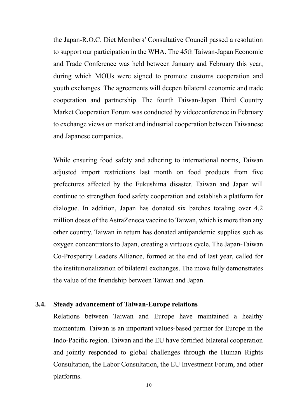the Japan-R.O.C. Diet Members' Consultative Council passed a resolution to support our participation in the WHA. The 45th Taiwan-Japan Economic and Trade Conference was held between January and February this year, during which MOUs were signed to promote customs cooperation and youth exchanges. The agreements will deepen bilateral economic and trade cooperation and partnership. The fourth Taiwan-Japan Third Country Market Cooperation Forum was conducted by videoconference in February to exchange views on market and industrial cooperation between Taiwanese and Japanese companies.

While ensuring food safety and adhering to international norms, Taiwan adjusted import restrictions last month on food products from five prefectures affected by the Fukushima disaster. Taiwan and Japan will continue to strengthen food safety cooperation and establish a platform for dialogue. In addition, Japan has donated six batches totaling over 4.2 million doses of the AstraZeneca vaccine to Taiwan, which is more than any other country. Taiwan in return has donated antipandemic supplies such as oxygen concentrators to Japan, creating a virtuous cycle. The Japan-Taiwan Co-Prosperity Leaders Alliance, formed at the end of last year, called for the institutionalization of bilateral exchanges. The move fully demonstrates the value of the friendship between Taiwan and Japan.

# **3.4. Steady advancement of Taiwan-Europe relations**

Relations between Taiwan and Europe have maintained a healthy momentum. Taiwan is an important values-based partner for Europe in the Indo-Pacific region. Taiwan and the EU have fortified bilateral cooperation and jointly responded to global challenges through the Human Rights Consultation, the Labor Consultation, the EU Investment Forum, and other platforms.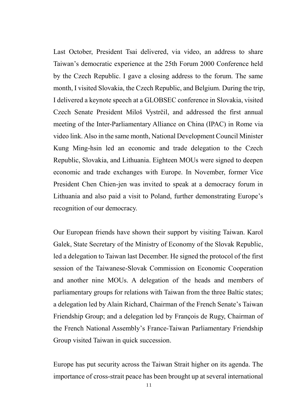Last October, President Tsai delivered, via video, an address to share Taiwan's democratic experience at the 25th Forum 2000 Conference held by the Czech Republic. I gave a closing address to the forum. The same month, I visited Slovakia, the Czech Republic, and Belgium. During the trip, I delivered a keynote speech at a GLOBSEC conference in Slovakia, visited Czech Senate President Miloš Vystrčil, and addressed the first annual meeting of the Inter-Parliamentary Alliance on China (IPAC) in Rome via video link. Also in the same month, National Development Council Minister Kung Ming-hsin led an economic and trade delegation to the Czech Republic, Slovakia, and Lithuania. Eighteen MOUs were signed to deepen economic and trade exchanges with Europe. In November, former Vice President Chen Chien-jen was invited to speak at a democracy forum in Lithuania and also paid a visit to Poland, further demonstrating Europe's recognition of our democracy.

Our European friends have shown their support by visiting Taiwan. Karol Galek, State Secretary of the Ministry of Economy of the Slovak Republic, led a delegation to Taiwan last December. He signed the protocol of the first session of the Taiwanese-Slovak Commission on Economic Cooperation and another nine MOUs. A delegation of the heads and members of parliamentary groups for relations with Taiwan from the three Baltic states; a delegation led by Alain Richard, Chairman of the French Senate's Taiwan Friendship Group; and a delegation led by François de Rugy, Chairman of the French National Assembly's France-Taiwan Parliamentary Friendship Group visited Taiwan in quick succession.

Europe has put security across the Taiwan Strait higher on its agenda. The importance of cross-strait peace has been brought up at several international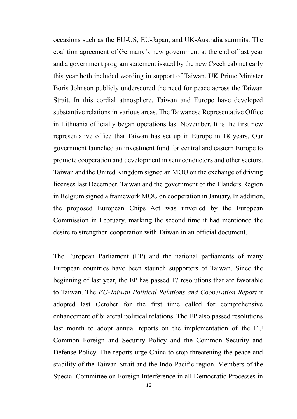occasions such as the EU-US, EU-Japan, and UK-Australia summits. The coalition agreement of Germany's new government at the end of last year and a government program statement issued by the new Czech cabinet early this year both included wording in support of Taiwan. UK Prime Minister Boris Johnson publicly underscored the need for peace across the Taiwan Strait. In this cordial atmosphere, Taiwan and Europe have developed substantive relations in various areas. The Taiwanese Representative Office in Lithuania officially began operations last November. It is the first new representative office that Taiwan has set up in Europe in 18 years. Our government launched an investment fund for central and eastern Europe to promote cooperation and development in semiconductors and other sectors. Taiwan and the United Kingdom signed an MOU on the exchange of driving licenses last December. Taiwan and the government of the Flanders Region in Belgium signed a framework MOU on cooperation in January. In addition, the proposed European Chips Act was unveiled by the European Commission in February, marking the second time it had mentioned the desire to strengthen cooperation with Taiwan in an official document.

The European Parliament (EP) and the national parliaments of many European countries have been staunch supporters of Taiwan. Since the beginning of last year, the EP has passed 17 resolutions that are favorable to Taiwan. The *EU-Taiwan Political Relations and Cooperation Report* it adopted last October for the first time called for comprehensive enhancement of bilateral political relations. The EP also passed resolutions last month to adopt annual reports on the implementation of the EU Common Foreign and Security Policy and the Common Security and Defense Policy. The reports urge China to stop threatening the peace and stability of the Taiwan Strait and the Indo-Pacific region. Members of the Special Committee on Foreign Interference in all Democratic Processes in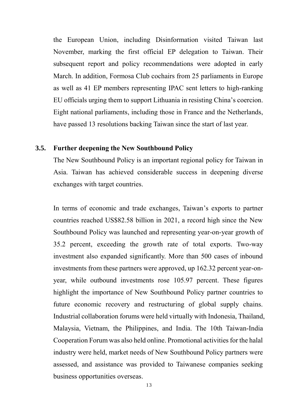the European Union, including Disinformation visited Taiwan last November, marking the first official EP delegation to Taiwan. Their subsequent report and policy recommendations were adopted in early March. In addition, Formosa Club cochairs from 25 parliaments in Europe as well as 41 EP members representing IPAC sent letters to high-ranking EU officials urging them to support Lithuania in resisting China's coercion. Eight national parliaments, including those in France and the Netherlands, have passed 13 resolutions backing Taiwan since the start of last year.

### **3.5. Further deepening the New Southbound Policy**

The New Southbound Policy is an important regional policy for Taiwan in Asia. Taiwan has achieved considerable success in deepening diverse exchanges with target countries.

In terms of economic and trade exchanges, Taiwan's exports to partner countries reached US\$82.58 billion in 2021, a record high since the New Southbound Policy was launched and representing year-on-year growth of 35.2 percent, exceeding the growth rate of total exports. Two-way investment also expanded significantly. More than 500 cases of inbound investments from these partners were approved, up 162.32 percent year-onyear, while outbound investments rose 105.97 percent. These figures highlight the importance of New Southbound Policy partner countries to future economic recovery and restructuring of global supply chains. Industrial collaboration forums were held virtually with Indonesia, Thailand, Malaysia, Vietnam, the Philippines, and India. The 10th Taiwan-India Cooperation Forum was also held online. Promotional activities for the halal industry were held, market needs of New Southbound Policy partners were assessed, and assistance was provided to Taiwanese companies seeking business opportunities overseas.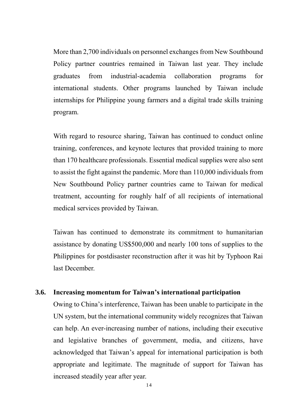More than 2,700 individuals on personnel exchanges from New Southbound Policy partner countries remained in Taiwan last year. They include graduates from industrial-academia collaboration programs for international students. Other programs launched by Taiwan include internships for Philippine young farmers and a digital trade skills training program.

With regard to resource sharing, Taiwan has continued to conduct online training, conferences, and keynote lectures that provided training to more than 170 healthcare professionals. Essential medical supplies were also sent to assist the fight against the pandemic. More than 110,000 individuals from New Southbound Policy partner countries came to Taiwan for medical treatment, accounting for roughly half of all recipients of international medical services provided by Taiwan.

Taiwan has continued to demonstrate its commitment to humanitarian assistance by donating US\$500,000 and nearly 100 tons of supplies to the Philippines for postdisaster reconstruction after it was hit by Typhoon Rai last December.

# **3.6. Increasing momentum for Taiwan's international participation**

Owing to China's interference, Taiwan has been unable to participate in the UN system, but the international community widely recognizes that Taiwan can help. An ever-increasing number of nations, including their executive and legislative branches of government, media, and citizens, have acknowledged that Taiwan's appeal for international participation is both appropriate and legitimate. The magnitude of support for Taiwan has increased steadily year after year.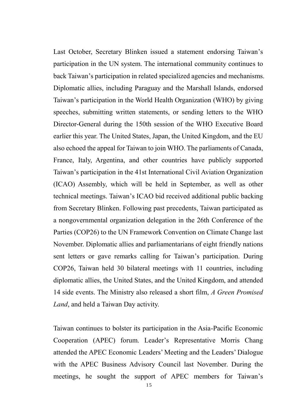Last October, Secretary Blinken issued a statement endorsing Taiwan's participation in the UN system. The international community continues to back Taiwan's participation in related specialized agencies and mechanisms. Diplomatic allies, including Paraguay and the Marshall Islands, endorsed Taiwan's participation in the World Health Organization (WHO) by giving speeches, submitting written statements, or sending letters to the WHO Director-General during the 150th session of the WHO Executive Board earlier this year. The United States, Japan, the United Kingdom, and the EU also echoed the appeal for Taiwan to join WHO. The parliaments of Canada, France, Italy, Argentina, and other countries have publicly supported Taiwan's participation in the 41st International Civil Aviation Organization (ICAO) Assembly, which will be held in September, as well as other technical meetings. Taiwan's ICAO bid received additional public backing from Secretary Blinken. Following past precedents, Taiwan participated as a nongovernmental organization delegation in the 26th Conference of the Parties (COP26) to the UN Framework Convention on Climate Change last November. Diplomatic allies and parliamentarians of eight friendly nations sent letters or gave remarks calling for Taiwan's participation. During COP26, Taiwan held 30 bilateral meetings with 11 countries, including diplomatic allies, the United States, and the United Kingdom, and attended 14 side events. The Ministry also released a short film, *A Green Promised Land*, and held a Taiwan Day activity.

Taiwan continues to bolster its participation in the Asia-Pacific Economic Cooperation (APEC) forum. Leader's Representative Morris Chang attended the APEC Economic Leaders' Meeting and the Leaders' Dialogue with the APEC Business Advisory Council last November. During the meetings, he sought the support of APEC members for Taiwan's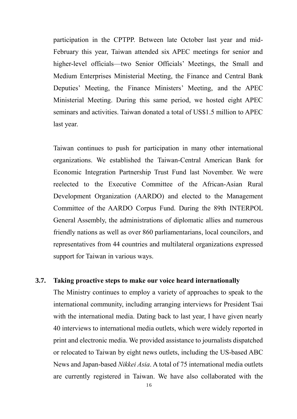participation in the CPTPP. Between late October last year and mid-February this year, Taiwan attended six APEC meetings for senior and higher-level officials—two Senior Officials' Meetings, the Small and Medium Enterprises Ministerial Meeting, the Finance and Central Bank Deputies' Meeting, the Finance Ministers' Meeting, and the APEC Ministerial Meeting. During this same period, we hosted eight APEC seminars and activities. Taiwan donated a total of US\$1.5 million to APEC last year.

Taiwan continues to push for participation in many other international organizations. We established the Taiwan-Central American Bank for Economic Integration Partnership Trust Fund last November. We were reelected to the Executive Committee of the African-Asian Rural Development Organization (AARDO) and elected to the Management Committee of the AARDO Corpus Fund. During the 89th INTERPOL General Assembly, the administrations of diplomatic allies and numerous friendly nations as well as over 860 parliamentarians, local councilors, and representatives from 44 countries and multilateral organizations expressed support for Taiwan in various ways.

### **3.7. Taking proactive steps to make our voice heard internationally**

The Ministry continues to employ a variety of approaches to speak to the international community, including arranging interviews for President Tsai with the international media. Dating back to last year, I have given nearly 40 interviews to international media outlets, which were widely reported in print and electronic media. We provided assistance to journalists dispatched or relocated to Taiwan by eight news outlets, including the US-based ABC News and Japan-based *Nikkei Asia*. A total of 75 international media outlets are currently registered in Taiwan. We have also collaborated with the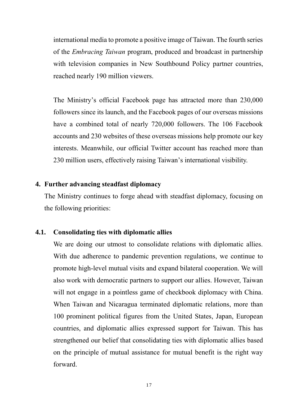international media to promote a positive image of Taiwan. The fourth series of the *Embracing Taiwan* program, produced and broadcast in partnership with television companies in New Southbound Policy partner countries, reached nearly 190 million viewers.

The Ministry's official Facebook page has attracted more than 230,000 followers since its launch, and the Facebook pages of our overseas missions have a combined total of nearly 720,000 followers. The 106 Facebook accounts and 230 websites of these overseas missions help promote our key interests. Meanwhile, our official Twitter account has reached more than 230 million users, effectively raising Taiwan's international visibility.

### **4. Further advancing steadfast diplomacy**

The Ministry continues to forge ahead with steadfast diplomacy, focusing on the following priorities:

#### **4.1. Consolidating ties with diplomatic allies**

We are doing our utmost to consolidate relations with diplomatic allies. With due adherence to pandemic prevention regulations, we continue to promote high-level mutual visits and expand bilateral cooperation. We will also work with democratic partners to support our allies. However, Taiwan will not engage in a pointless game of checkbook diplomacy with China. When Taiwan and Nicaragua terminated diplomatic relations, more than 100 prominent political figures from the United States, Japan, European countries, and diplomatic allies expressed support for Taiwan. This has strengthened our belief that consolidating ties with diplomatic allies based on the principle of mutual assistance for mutual benefit is the right way forward.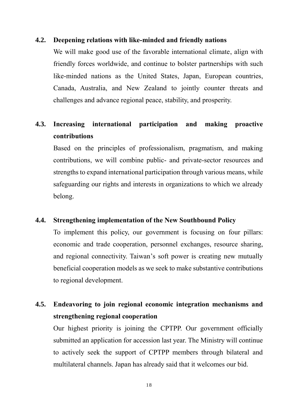#### **4.2. Deepening relations with like-minded and friendly nations**

We will make good use of the favorable international climate, align with friendly forces worldwide, and continue to bolster partnerships with such like-minded nations as the United States, Japan, European countries, Canada, Australia, and New Zealand to jointly counter threats and challenges and advance regional peace, stability, and prosperity.

# **4.3. Increasing international participation and making proactive contributions**

Based on the principles of professionalism, pragmatism, and making contributions, we will combine public- and private-sector resources and strengths to expand international participation through various means, while safeguarding our rights and interests in organizations to which we already belong.

# **4.4. Strengthening implementation of the New Southbound Policy**

To implement this policy, our government is focusing on four pillars: economic and trade cooperation, personnel exchanges, resource sharing, and regional connectivity. Taiwan's soft power is creating new mutually beneficial cooperation models as we seek to make substantive contributions to regional development.

# **4.5. Endeavoring to join regional economic integration mechanisms and strengthening regional cooperation**

Our highest priority is joining the CPTPP. Our government officially submitted an application for accession last year. The Ministry will continue to actively seek the support of CPTPP members through bilateral and multilateral channels. Japan has already said that it welcomes our bid.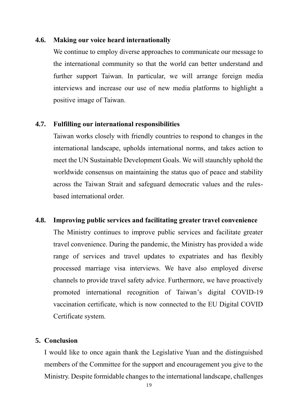#### **4.6. Making our voice heard internationally**

We continue to employ diverse approaches to communicate our message to the international community so that the world can better understand and further support Taiwan. In particular, we will arrange foreign media interviews and increase our use of new media platforms to highlight a positive image of Taiwan.

### **4.7. Fulfilling our international responsibilities**

Taiwan works closely with friendly countries to respond to changes in the international landscape, upholds international norms, and takes action to meet the UN Sustainable Development Goals. We will staunchly uphold the worldwide consensus on maintaining the status quo of peace and stability across the Taiwan Strait and safeguard democratic values and the rulesbased international order.

#### **4.8. Improving public services and facilitating greater travel convenience**

The Ministry continues to improve public services and facilitate greater travel convenience. During the pandemic, the Ministry has provided a wide range of services and travel updates to expatriates and has flexibly processed marriage visa interviews. We have also employed diverse channels to provide travel safety advice. Furthermore, we have proactively promoted international recognition of Taiwan's digital COVID-19 vaccination certificate, which is now connected to the EU Digital COVID Certificate system.

# **5. Conclusion**

I would like to once again thank the Legislative Yuan and the distinguished members of the Committee for the support and encouragement you give to the Ministry. Despite formidable changes to the international landscape, challenges